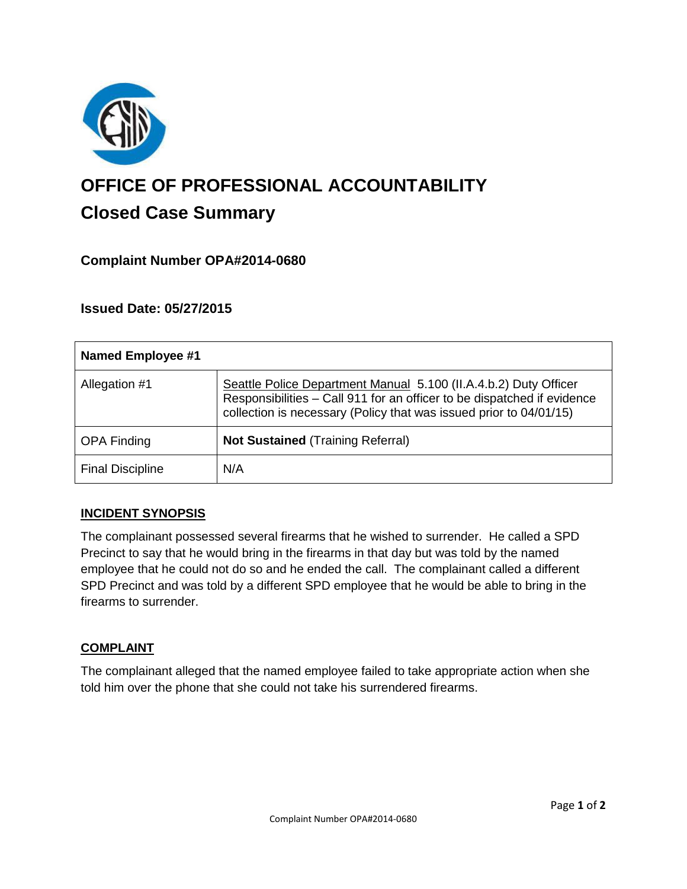

# **OFFICE OF PROFESSIONAL ACCOUNTABILITY Closed Case Summary**

# **Complaint Number OPA#2014-0680**

## **Issued Date: 05/27/2015**

| Named Employee #1       |                                                                                                                                                                                                                   |
|-------------------------|-------------------------------------------------------------------------------------------------------------------------------------------------------------------------------------------------------------------|
| Allegation #1           | Seattle Police Department Manual 5.100 (II.A.4.b.2) Duty Officer<br>Responsibilities - Call 911 for an officer to be dispatched if evidence<br>collection is necessary (Policy that was issued prior to 04/01/15) |
| <b>OPA Finding</b>      | <b>Not Sustained (Training Referral)</b>                                                                                                                                                                          |
| <b>Final Discipline</b> | N/A                                                                                                                                                                                                               |

#### **INCIDENT SYNOPSIS**

The complainant possessed several firearms that he wished to surrender. He called a SPD Precinct to say that he would bring in the firearms in that day but was told by the named employee that he could not do so and he ended the call. The complainant called a different SPD Precinct and was told by a different SPD employee that he would be able to bring in the firearms to surrender.

#### **COMPLAINT**

The complainant alleged that the named employee failed to take appropriate action when she told him over the phone that she could not take his surrendered firearms.